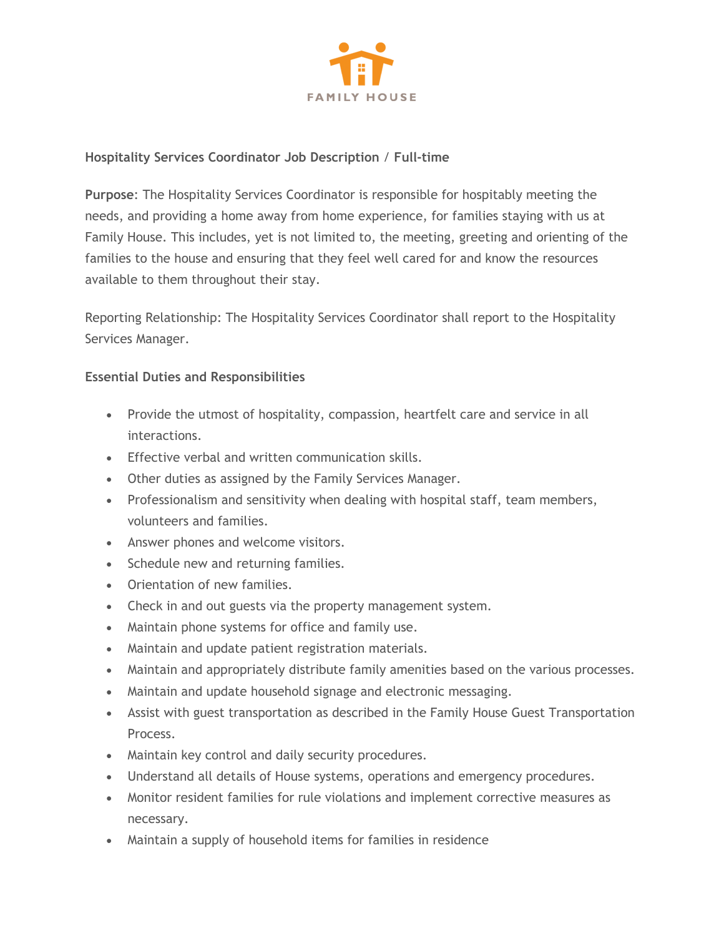

## **Hospitality Services Coordinator Job Description** / **Full-time**

**Purpose**: The Hospitality Services Coordinator is responsible for hospitably meeting the needs, and providing a home away from home experience, for families staying with us at Family House. This includes, yet is not limited to, the meeting, greeting and orienting of the families to the house and ensuring that they feel well cared for and know the resources available to them throughout their stay.

Reporting Relationship: The Hospitality Services Coordinator shall report to the Hospitality Services Manager.

# **Essential Duties and Responsibilities**

- Provide the utmost of hospitality, compassion, heartfelt care and service in all interactions.
- Effective verbal and written communication skills.
- Other duties as assigned by the Family Services Manager.
- Professionalism and sensitivity when dealing with hospital staff, team members, volunteers and families.
- Answer phones and welcome visitors.
- Schedule new and returning families.
- Orientation of new families.
- Check in and out guests via the property management system.
- Maintain phone systems for office and family use.
- Maintain and update patient registration materials.
- Maintain and appropriately distribute family amenities based on the various processes.
- Maintain and update household signage and electronic messaging.
- Assist with guest transportation as described in the Family House Guest Transportation Process.
- Maintain key control and daily security procedures.
- Understand all details of House systems, operations and emergency procedures.
- Monitor resident families for rule violations and implement corrective measures as necessary.
- Maintain a supply of household items for families in residence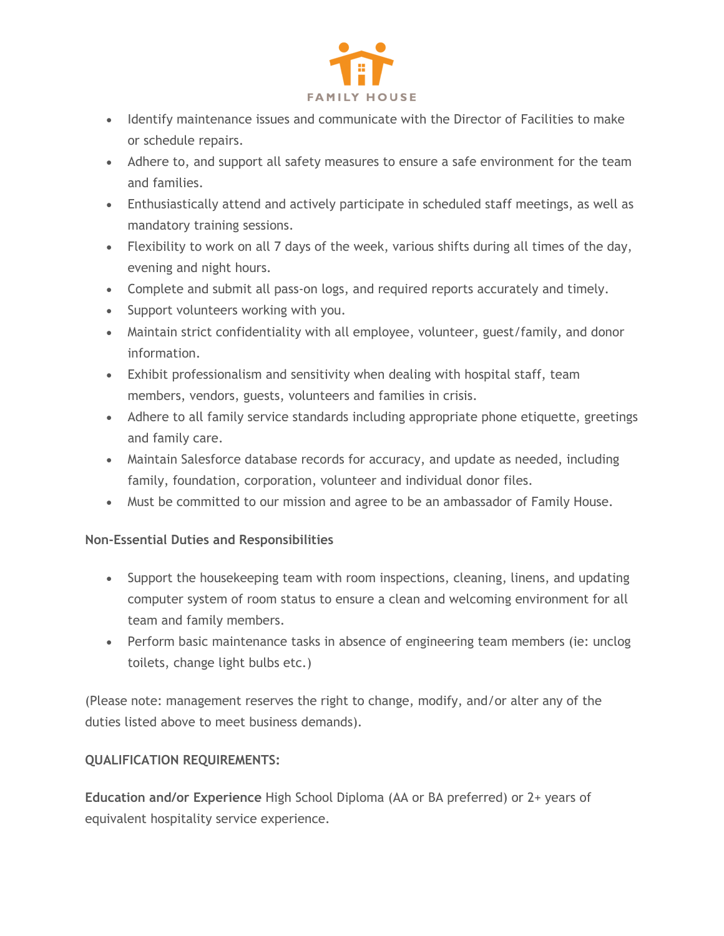

- Identify maintenance issues and communicate with the Director of Facilities to make or schedule repairs.
- Adhere to, and support all safety measures to ensure a safe environment for the team and families.
- Enthusiastically attend and actively participate in scheduled staff meetings, as well as mandatory training sessions.
- Flexibility to work on all 7 days of the week, various shifts during all times of the day, evening and night hours.
- Complete and submit all pass-on logs, and required reports accurately and timely.
- Support volunteers working with you.
- Maintain strict confidentiality with all employee, volunteer, guest/family, and donor information.
- Exhibit professionalism and sensitivity when dealing with hospital staff, team members, vendors, guests, volunteers and families in crisis.
- Adhere to all family service standards including appropriate phone etiquette, greetings and family care.
- Maintain Salesforce database records for accuracy, and update as needed, including family, foundation, corporation, volunteer and individual donor files.
- Must be committed to our mission and agree to be an ambassador of Family House.

## **Non-Essential Duties and Responsibilities**

- Support the housekeeping team with room inspections, cleaning, linens, and updating computer system of room status to ensure a clean and welcoming environment for all team and family members.
- Perform basic maintenance tasks in absence of engineering team members (ie: unclog toilets, change light bulbs etc.)

(Please note: management reserves the right to change, modify, and/or alter any of the duties listed above to meet business demands).

## **QUALIFICATION REQUIREMENTS:**

**Education and/or Experience** High School Diploma (AA or BA preferred) or 2+ years of equivalent hospitality service experience.